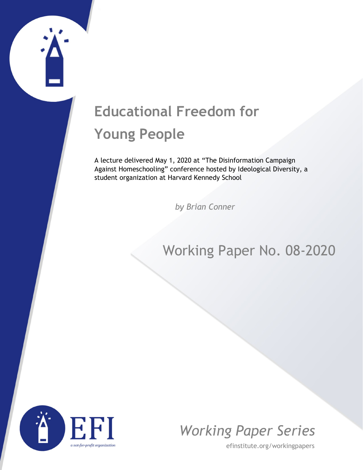## **Educational Freedom for Young People**

A lecture delivered May 1, 2020 at "The Disinformation Campaign Against Homeschooling" conference hosted by Ideological Diversity, a student organization at Harvard Kennedy School

*by Brian Conner*

## Working Paper No. 08-2020





efinstitute.org/workingpapers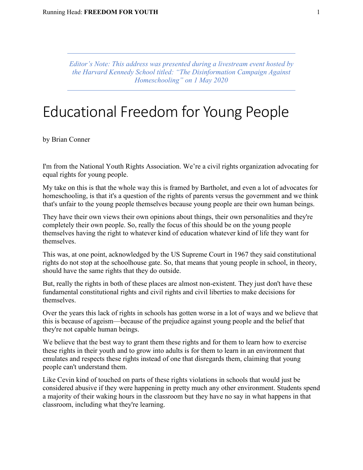*Editor's Note: This address was presented during a livestream event hosted by the Harvard Kennedy School titled: "The Disinformation Campaign Against Homeschooling" on 1 May 2020*

## Educational Freedom for Young People

by Brian Conner

I'm from the National Youth Rights Association. We're a civil rights organization advocating for equal rights for young people.

My take on this is that the whole way this is framed by Bartholet, and even a lot of advocates for homeschooling, is that it's a question of the rights of parents versus the government and we think that's unfair to the young people themselves because young people are their own human beings.

They have their own views their own opinions about things, their own personalities and they're completely their own people. So, really the focus of this should be on the young people themselves having the right to whatever kind of education whatever kind of life they want for themselves.

This was, at one point, acknowledged by the US Supreme Court in 1967 they said constitutional rights do not stop at the schoolhouse gate. So, that means that young people in school, in theory, should have the same rights that they do outside.

But, really the rights in both of these places are almost non-existent. They just don't have these fundamental constitutional rights and civil rights and civil liberties to make decisions for themselves.

Over the years this lack of rights in schools has gotten worse in a lot of ways and we believe that this is because of ageism—because of the prejudice against young people and the belief that they're not capable human beings.

We believe that the best way to grant them these rights and for them to learn how to exercise these rights in their youth and to grow into adults is for them to learn in an environment that emulates and respects these rights instead of one that disregards them, claiming that young people can't understand them.

Like Cevin kind of touched on parts of these rights violations in schools that would just be considered abusive if they were happening in pretty much any other environment. Students spend a majority of their waking hours in the classroom but they have no say in what happens in that classroom, including what they're learning.